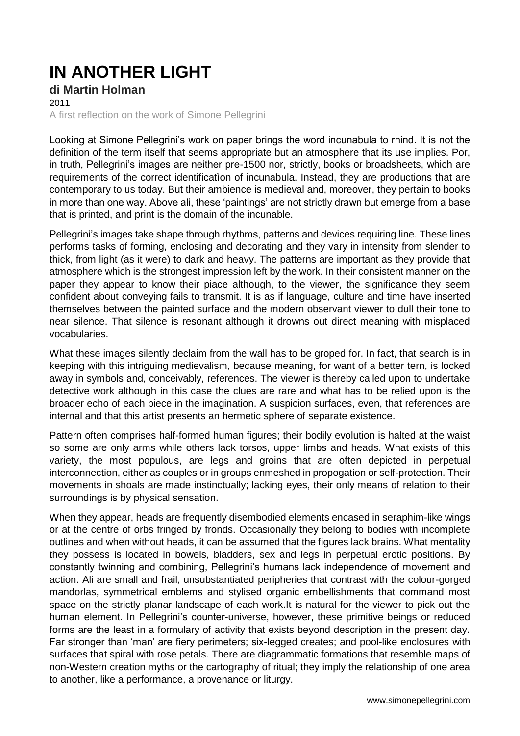## **IN ANOTHER LIGHT**

**di Martin Holman** 2011 A first reflection on the work of Simone Pellegrini

Looking at Simone Pellegrini's work on paper brings the word incunabula to rnind. It is not the definition of the term itself that seems appropriate but an atmosphere that its use implies. Por, in truth, Pellegrini's images are neither pre-1500 nor, strictly, books or broadsheets, which are requirements of the correct identificatìon of incunabula. Instead, they are productions that are contemporary to us today. But their ambience is medieval and, moreover, they pertain to books in more than one way. Above ali, these 'paintings' are not strictly drawn but emerge from a base that is printed, and print is the domain of the incunable.

Pellegrini's images take shape through rhythms, patterns and devices requiring line. These lines performs tasks of forming, enclosing and decorating and they vary in intensity from slender to thick, from light (as it were) to dark and heavy. The patterns are important as they provide that atmosphere which is the strongest impression left by the work. In their consistent manner on the paper they appear to know their piace although, to the viewer, the significance they seem confident about conveying fails to transmit. It is as if language, culture and time have inserted themselves between the painted surface and the modern observant viewer to dull their tone to near silence. That silence is resonant although it drowns out direct meaning with misplaced vocabularies.

What these images silently declaim from the wall has to be groped for. In fact, that search is in keeping with this intriguing medievalism, because meaning, for want of a better tern, is locked away in symbols and, conceivably, references. The viewer is thereby called upon to undertake detective work although in this case the clues are rare and what has to be relied upon is the broader echo of each piece in the imagination. A suspicion surfaces, even, that references are internal and that this artist presents an hermetic sphere of separate existence.

Pattern often comprises half-formed human figures; their bodily evolution is halted at the waist so some are only arms while others lack torsos, upper limbs and heads. What exists of this variety, the most populous, are legs and groins that are often depicted in perpetual interconnection, either as couples or in groups enmeshed in propogation or self-protection. Their movements in shoals are made instinctually; lacking eyes, their only means of relation to their surroundings is by physical sensation.

When they appear, heads are frequently disembodied elements encased in seraphim-like wings or at the centre of orbs fringed by fronds. Occasionally they belong to bodies with incomplete outlines and when without heads, it can be assumed that the figures lack brains. What mentality they possess is located in bowels, bladders, sex and legs in perpetual erotic positions. By constantly twinning and combining, Pellegrini's humans lack independence of movement and action. Ali are small and frail, unsubstantiated peripheries that contrast with the colour-gorged mandorlas, symmetrical emblems and stylised organic embellishments that command most space on the strictly planar landscape of each work.It is natural for the viewer to pick out the human element. In Pellegrini's counter-universe, however, these primitive beings or reduced forms are the least in a formulary of activity that exists beyond description in the present day. Far stronger than 'man' are fiery perimeters; six-legged creates; and pool-like enclosures with surfaces that spiral with rose petals. There are diagrammatic formations that resemble maps of non-Western creation myths or the cartography of ritual; they imply the relationship of one area to another, like a performance, a provenance or liturgy.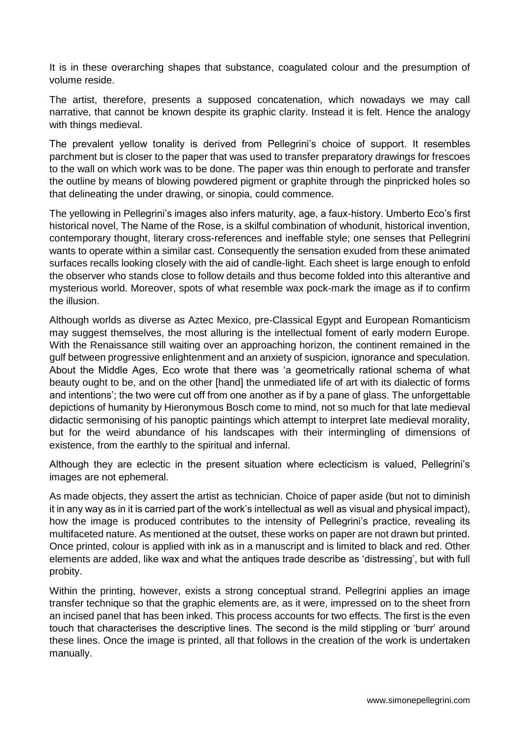It is in these overarching shapes that substance, coagulated colour and the presumption of volume reside.

The artist, therefore, presents a supposed concatenation, which nowadays we may call narrative, that cannot be known despite its graphic clarity. Instead it is felt. Hence the analogy with things medieval.

The prevalent yellow tonality is derived from Pellegrini's choice of support. It resembles parchment but is closer to the paper that was used to transfer preparatory drawings for frescoes to the wall on which work was to be done. The paper was thin enough to perforate and transfer the outline by means of blowing powdered pigment or graphite through the pinpricked holes so that delineating the under drawing, or sinopia, could commence.

The yellowing in Pellegrini's images also infers maturity, age, a faux-history. Umberto Eco's first historical novel, The Name of the Rose, is a skilful combination of whodunit, historical invention, contemporary thought, literary cross-references and ineffable style; one senses that Pellegrini wants to operate within a similar cast. Consequently the sensation exuded from these animated surfaces recalls looking closely with the aid of candle-light. Each sheet is large enough to enfold the observer who stands close to follow details and thus become folded into this alterantive and mysterious world. Moreover, spots of what resemble wax pock-mark the image as if to confirm the illusion.

Although worlds as diverse as Aztec Mexico, pre-Classical Egypt and European Romanticism may suggest themselves, the most alluring is the intellectual foment of early modern Europe. With the Renaissance still waiting over an approaching horizon, the continent remained in the gulf between progressive enlightenment and an anxiety of suspicion, ignorance and speculation. About the Middle Ages, Eco wrote that there was 'a geometrically rational schema of what beauty ought to be, and on the other [hand] the unmediated life of art with its dialectic of forms and intentions'; the two were cut off from one another as if by a pane of glass. The unforgettable depictions of humanity by Hieronymous Bosch come to mind, not so much for that late medieval didactic sermonising of his panoptic paintings which attempt to interpret late medieval morality, but for the weird abundance of his landscapes with their intermingling of dimensions of existence, from the earthly to the spiritual and infernal.

Although they are eclectic in the present situation where eclecticism is valued, Pellegrini's images are not ephemeral.

As made objects, they assert the artist as technician. Choice of paper aside (but not to diminish it in any way as in it is carried part of the work's intellectual as well as visual and physical impact), how the image is produced contributes to the intensity of Pellegrini's practice, revealing its multifaceted nature. As mentioned at the outset, these works on paper are not drawn but printed. Once printed, colour is applied with ink as in a manuscript and is limited to black and red. Other elements are added, like wax and what the antiques trade describe as 'distressing', but with full probity.

Within the printing, however, exists a strong conceptual strand. Pellegrini applies an image transfer technique so that the graphic elements are, as it were, impressed on to the sheet frorn an incised panel that has been inked. This process accounts for two effects. The first is the even touch that characterises the descriptive lines. The second is the mild stippling or 'burr' around these lines. Once the image is printed, all that follows in the creation of the work is undertaken manually.